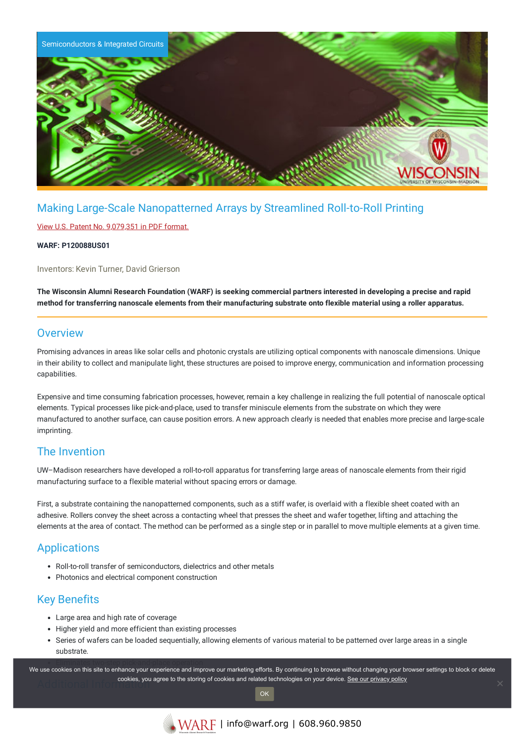

# Making Large-Scale Nanopatterned Arrays by Streamlined Roll-to-Roll Printing

#### View U.S. Patent No. [9,079,351](https://www.warf.org/wp-content/uploads/technologies/ipstatus/P120088US01.PDF) in PDF format.

#### **WARF: P120088US01**

Inventors: Kevin Turner, David Grierson

The Wisconsin Alumni Research Foundation (WARF) is seeking commercial partners interested in developing a precise and rapid method for transferring nanoscale elements from their manufacturing substrate onto flexible material using a roller apparatus.

### **Overview**

Promising advances in areas like solar cells and photonic crystals are utilizing optical components with nanoscale dimensions. Unique in their ability to collect and manipulate light, these structures are poised to improve energy, communication and information processing capabilities.

Expensive and time consuming fabrication processes, however, remain a key challenge in realizing the full potential of nanoscale optical elements. Typical processes like pick-and-place, used to transfer miniscule elements from the substrate on which they were manufactured to another surface, can cause position errors. A new approach clearly is needed that enables more precise and large-scale imprinting.

### The Invention

UW–Madison researchers have developed a roll-to-roll apparatus for transferring large areas of nanoscale elements from their rigid manufacturing surface to a flexible material without spacing errors or damage.

First, a substrate containing the nanopatterned components, such as a stiff wafer, is overlaid with a flexible sheet coated with an adhesive. Rollers convey the sheet across a contacting wheel that presses the sheet and wafer together, lifting and attaching the elements at the area of contact. The method can be performed as a single step or in parallel to move multiple elements at a given time.

## **Applications**

- Roll-to-roll transfer of semiconductors, dielectrics and other metals
- Photonics and electrical component construction

### Key Benefits

- Large area and high rate of coverage
- Higher yield and more efficient than existing processes
- Series of wafers can be loaded sequentially, allowing elements of various material to be patterned over large areas in a single substrate.

we use cookies on this site to enhance your experience and improve our marketing efforts. By continuing to browse without changing your browser settings to block or delete **Additional Information [See our privacy policy](https://www.warf.org/privacy-policy/)**<br>Additional Information